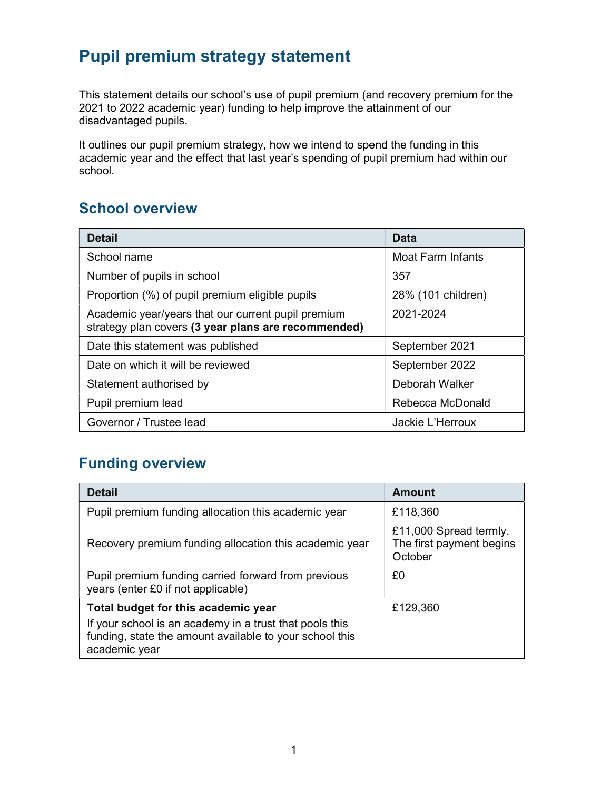# Pupil premium strategy statement

This statement details our school's use of pupil premium (and recovery premium for the 2021 to 2022 academic year) funding to help improve the attainment of our disadvantaged pupils.

It outlines our pupil premium strategy, how we intend to spend the funding in this academic year and the effect that last year's spending of pupil premium had within our school.

### School overview

| <b>Detail</b>                                                                                             | Data               |
|-----------------------------------------------------------------------------------------------------------|--------------------|
| School name                                                                                               | Moat Farm Infants  |
| Number of pupils in school                                                                                | 357                |
| Proportion (%) of pupil premium eligible pupils                                                           | 28% (101 children) |
| Academic year/years that our current pupil premium<br>strategy plan covers (3 year plans are recommended) | 2021-2024          |
| Date this statement was published                                                                         | September 2021     |
| Date on which it will be reviewed                                                                         | September 2022     |
| Statement authorised by                                                                                   | Deborah Walker     |
| Pupil premium lead                                                                                        | Rebecca McDonald   |
| Governor / Trustee lead                                                                                   | Jackie L'Herroux   |

### Funding overview

| <b>Detail</b>                                                                                                                       | Amount                                                        |
|-------------------------------------------------------------------------------------------------------------------------------------|---------------------------------------------------------------|
| Pupil premium funding allocation this academic year                                                                                 | £118,360                                                      |
| Recovery premium funding allocation this academic year                                                                              | £11,000 Spread termly.<br>The first payment begins<br>October |
| Pupil premium funding carried forward from previous<br>years (enter £0 if not applicable)                                           | £0                                                            |
| Total budget for this academic year                                                                                                 | £129,360                                                      |
| If your school is an academy in a trust that pools this<br>funding, state the amount available to your school this<br>academic year |                                                               |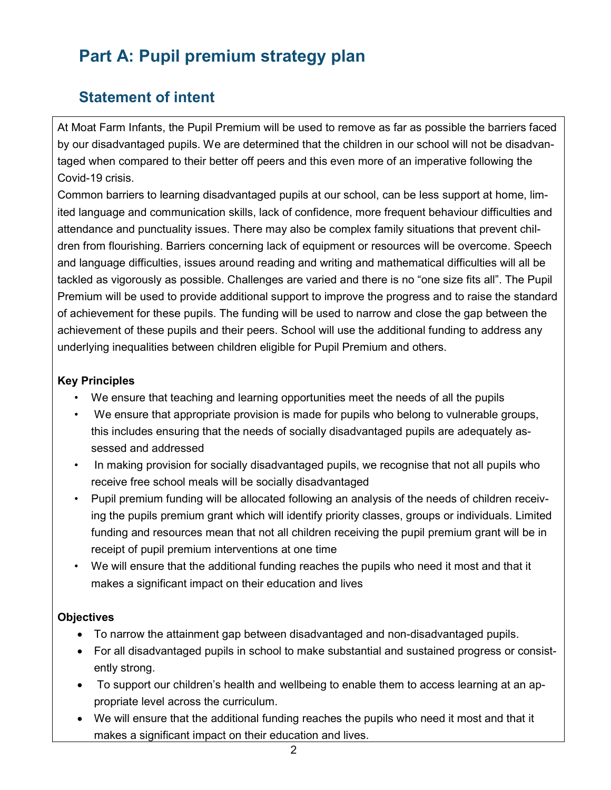# Part A: Pupil premium strategy plan

## Statement of intent

At Moat Farm Infants, the Pupil Premium will be used to remove as far as possible the barriers faced by our disadvantaged pupils. We are determined that the children in our school will not be disadvantaged when compared to their better off peers and this even more of an imperative following the Covid-19 crisis.

Common barriers to learning disadvantaged pupils at our school, can be less support at home, limited language and communication skills, lack of confidence, more frequent behaviour difficulties and attendance and punctuality issues. There may also be complex family situations that prevent children from flourishing. Barriers concerning lack of equipment or resources will be overcome. Speech and language difficulties, issues around reading and writing and mathematical difficulties will all be tackled as vigorously as possible. Challenges are varied and there is no "one size fits all". The Pupil Premium will be used to provide additional support to improve the progress and to raise the standard of achievement for these pupils. The funding will be used to narrow and close the gap between the achievement of these pupils and their peers. School will use the additional funding to address any underlying inequalities between children eligible for Pupil Premium and others.

#### Key Principles

- We ensure that teaching and learning opportunities meet the needs of all the pupils
- We ensure that appropriate provision is made for pupils who belong to vulnerable groups, this includes ensuring that the needs of socially disadvantaged pupils are adequately assessed and addressed
- In making provision for socially disadvantaged pupils, we recognise that not all pupils who receive free school meals will be socially disadvantaged
- Pupil premium funding will be allocated following an analysis of the needs of children receiving the pupils premium grant which will identify priority classes, groups or individuals. Limited funding and resources mean that not all children receiving the pupil premium grant will be in receipt of pupil premium interventions at one time
- We will ensure that the additional funding reaches the pupils who need it most and that it makes a significant impact on their education and lives

#### **Objectives**

- To narrow the attainment gap between disadvantaged and non-disadvantaged pupils.
- For all disadvantaged pupils in school to make substantial and sustained progress or consistently strong.
- To support our children's health and wellbeing to enable them to access learning at an appropriate level across the curriculum.
- We will ensure that the additional funding reaches the pupils who need it most and that it makes a significant impact on their education and lives.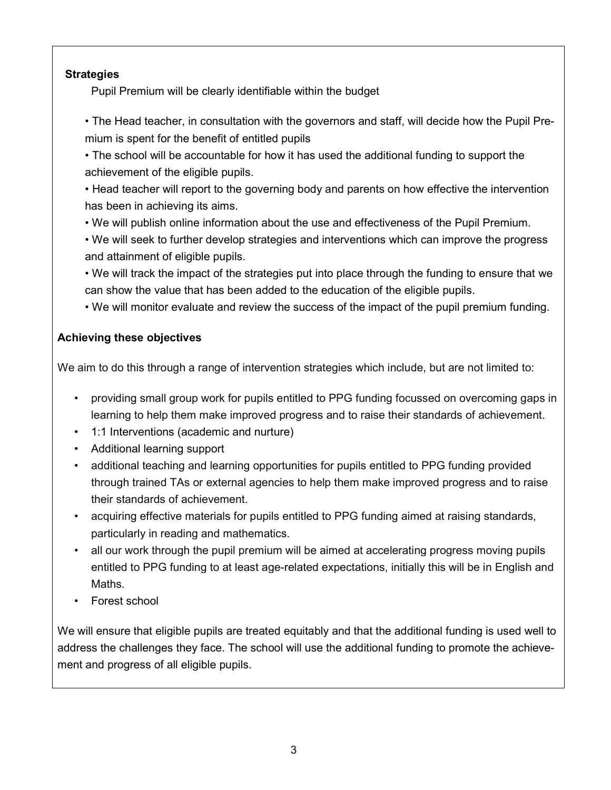#### **Strategies**

Pupil Premium will be clearly identifiable within the budget

- The Head teacher, in consultation with the governors and staff, will decide how the Pupil Premium is spent for the benefit of entitled pupils
- The school will be accountable for how it has used the additional funding to support the achievement of the eligible pupils.
- Head teacher will report to the governing body and parents on how effective the intervention has been in achieving its aims.
- We will publish online information about the use and effectiveness of the Pupil Premium.
- We will seek to further develop strategies and interventions which can improve the progress and attainment of eligible pupils.
- We will track the impact of the strategies put into place through the funding to ensure that we can show the value that has been added to the education of the eligible pupils.
- We will monitor evaluate and review the success of the impact of the pupil premium funding.

### Achieving these objectives

We aim to do this through a range of intervention strategies which include, but are not limited to:

- providing small group work for pupils entitled to PPG funding focussed on overcoming gaps in learning to help them make improved progress and to raise their standards of achievement.
- 1:1 Interventions (academic and nurture)
- Additional learning support
- additional teaching and learning opportunities for pupils entitled to PPG funding provided through trained TAs or external agencies to help them make improved progress and to raise their standards of achievement.
- acquiring effective materials for pupils entitled to PPG funding aimed at raising standards, particularly in reading and mathematics.
- all our work through the pupil premium will be aimed at accelerating progress moving pupils entitled to PPG funding to at least age-related expectations, initially this will be in English and Maths.
- Forest school

We will ensure that eligible pupils are treated equitably and that the additional funding is used well to address the challenges they face. The school will use the additional funding to promote the achievement and progress of all eligible pupils.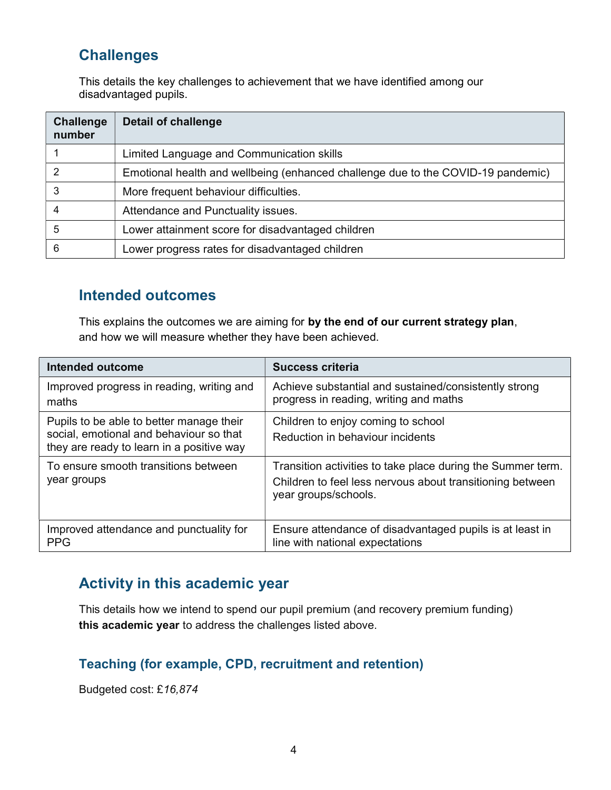### **Challenges**

This details the key challenges to achievement that we have identified among our disadvantaged pupils.

| <b>Challenge</b><br>number | <b>Detail of challenge</b>                                                       |
|----------------------------|----------------------------------------------------------------------------------|
|                            | Limited Language and Communication skills                                        |
|                            | Emotional health and wellbeing (enhanced challenge due to the COVID-19 pandemic) |
| 3                          | More frequent behaviour difficulties.                                            |
|                            | Attendance and Punctuality issues.                                               |
| 5                          | Lower attainment score for disadvantaged children                                |
| 6                          | Lower progress rates for disadvantaged children                                  |

### Intended outcomes

This explains the outcomes we are aiming for by the end of our current strategy plan, and how we will measure whether they have been achieved.

| Intended outcome                                                                                                                 | <b>Success criteria</b>                                                                                                                          |
|----------------------------------------------------------------------------------------------------------------------------------|--------------------------------------------------------------------------------------------------------------------------------------------------|
| Improved progress in reading, writing and<br>maths                                                                               | Achieve substantial and sustained/consistently strong<br>progress in reading, writing and maths                                                  |
| Pupils to be able to better manage their<br>social, emotional and behaviour so that<br>they are ready to learn in a positive way | Children to enjoy coming to school<br>Reduction in behaviour incidents                                                                           |
| To ensure smooth transitions between<br>year groups                                                                              | Transition activities to take place during the Summer term.<br>Children to feel less nervous about transitioning between<br>year groups/schools. |
| Improved attendance and punctuality for<br><b>PPG</b>                                                                            | Ensure attendance of disadvantaged pupils is at least in<br>line with national expectations                                                      |

### Activity in this academic year

This details how we intend to spend our pupil premium (and recovery premium funding) this academic year to address the challenges listed above.

### Teaching (for example, CPD, recruitment and retention)

Budgeted cost: £16,874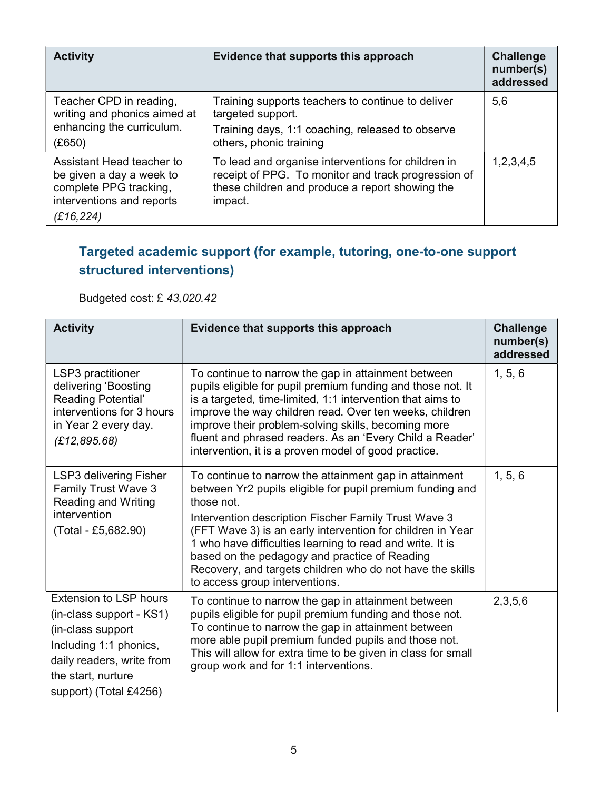| <b>Activity</b>                                                                                                           | Evidence that supports this approach                                                                                                                                    | <b>Challenge</b><br>number(s)<br>addressed |
|---------------------------------------------------------------------------------------------------------------------------|-------------------------------------------------------------------------------------------------------------------------------------------------------------------------|--------------------------------------------|
| Teacher CPD in reading,<br>writing and phonics aimed at<br>enhancing the curriculum.<br>(E650)                            | Training supports teachers to continue to deliver<br>targeted support.<br>Training days, 1:1 coaching, released to observe<br>others, phonic training                   | 5,6                                        |
| Assistant Head teacher to<br>be given a day a week to<br>complete PPG tracking,<br>interventions and reports<br>(£16,224) | To lead and organise interventions for children in<br>receipt of PPG. To monitor and track progression of<br>these children and produce a report showing the<br>impact. | 1,2,3,4,5                                  |

### Targeted academic support (for example, tutoring, one-to-one support structured interventions)

Budgeted cost: £ 43,020.42

| <b>Activity</b>                                                                                                                                                                       | Evidence that supports this approach                                                                                                                                                                                                                                                                                                                                                                                                                                 | <b>Challenge</b><br>number(s)<br>addressed |
|---------------------------------------------------------------------------------------------------------------------------------------------------------------------------------------|----------------------------------------------------------------------------------------------------------------------------------------------------------------------------------------------------------------------------------------------------------------------------------------------------------------------------------------------------------------------------------------------------------------------------------------------------------------------|--------------------------------------------|
| LSP3 practitioner<br>delivering 'Boosting<br>Reading Potential'<br>interventions for 3 hours<br>in Year 2 every day.<br>(E12, 895.68)                                                 | To continue to narrow the gap in attainment between<br>pupils eligible for pupil premium funding and those not. It<br>is a targeted, time-limited, 1:1 intervention that aims to<br>improve the way children read. Over ten weeks, children<br>improve their problem-solving skills, becoming more<br>fluent and phrased readers. As an 'Every Child a Reader'<br>intervention, it is a proven model of good practice.                                               | 1, 5, 6                                    |
| LSP3 delivering Fisher<br><b>Family Trust Wave 3</b><br><b>Reading and Writing</b><br>intervention<br>(Total - £5,682.90)                                                             | To continue to narrow the attainment gap in attainment<br>between Yr2 pupils eligible for pupil premium funding and<br>those not.<br>Intervention description Fischer Family Trust Wave 3<br>(FFT Wave 3) is an early intervention for children in Year<br>1 who have difficulties learning to read and write. It is<br>based on the pedagogy and practice of Reading<br>Recovery, and targets children who do not have the skills<br>to access group interventions. | 1, 5, 6                                    |
| <b>Extension to LSP hours</b><br>(in-class support - KS1)<br>(in-class support<br>Including 1:1 phonics,<br>daily readers, write from<br>the start, nurture<br>support) (Total £4256) | To continue to narrow the gap in attainment between<br>pupils eligible for pupil premium funding and those not.<br>To continue to narrow the gap in attainment between<br>more able pupil premium funded pupils and those not.<br>This will allow for extra time to be given in class for small<br>group work and for 1:1 interventions.                                                                                                                             | 2,3,5,6                                    |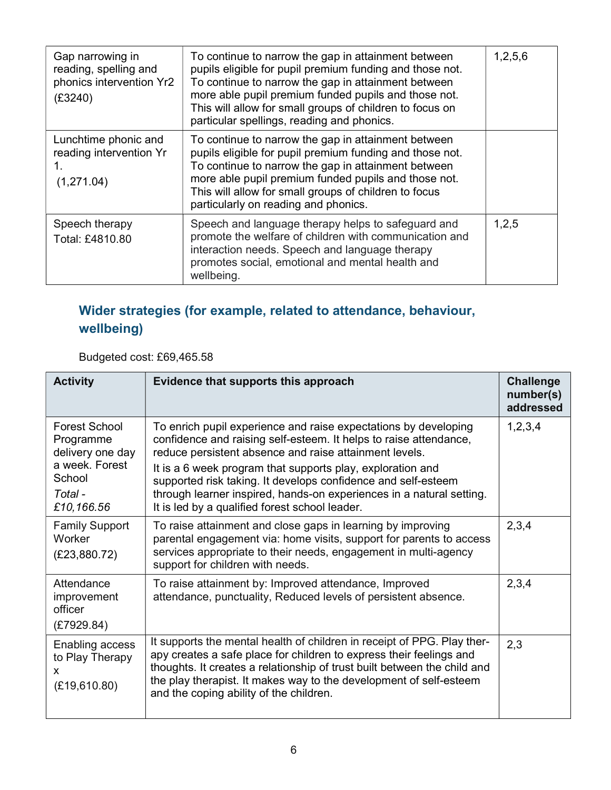| Gap narrowing in<br>reading, spelling and<br>phonics intervention Yr2<br>(£3240) | To continue to narrow the gap in attainment between<br>pupils eligible for pupil premium funding and those not.<br>To continue to narrow the gap in attainment between<br>more able pupil premium funded pupils and those not.<br>This will allow for small groups of children to focus on<br>particular spellings, reading and phonics. | 1,2,5,6 |
|----------------------------------------------------------------------------------|------------------------------------------------------------------------------------------------------------------------------------------------------------------------------------------------------------------------------------------------------------------------------------------------------------------------------------------|---------|
| Lunchtime phonic and<br>reading intervention Yr<br>(1,271.04)                    | To continue to narrow the gap in attainment between<br>pupils eligible for pupil premium funding and those not.<br>To continue to narrow the gap in attainment between<br>more able pupil premium funded pupils and those not.<br>This will allow for small groups of children to focus<br>particularly on reading and phonics.          |         |
| Speech therapy<br>Total: £4810.80                                                | Speech and language therapy helps to safeguard and<br>promote the welfare of children with communication and<br>interaction needs. Speech and language therapy<br>promotes social, emotional and mental health and<br>wellbeing.                                                                                                         | 1,2,5   |

## Wider strategies (for example, related to attendance, behaviour, wellbeing)

Budgeted cost: £69,465.58

| <b>Activity</b>                                                                                     | Evidence that supports this approach                                                                                                                                                                                                                                                                                                                                                                                                                    | <b>Challenge</b><br>number(s)<br>addressed |
|-----------------------------------------------------------------------------------------------------|---------------------------------------------------------------------------------------------------------------------------------------------------------------------------------------------------------------------------------------------------------------------------------------------------------------------------------------------------------------------------------------------------------------------------------------------------------|--------------------------------------------|
| Forest School<br>Programme<br>delivery one day<br>a week. Forest<br>School<br>Total -<br>£10,166.56 | To enrich pupil experience and raise expectations by developing<br>confidence and raising self-esteem. It helps to raise attendance,<br>reduce persistent absence and raise attainment levels.<br>It is a 6 week program that supports play, exploration and<br>supported risk taking. It develops confidence and self-esteem<br>through learner inspired, hands-on experiences in a natural setting.<br>It is led by a qualified forest school leader. | 1,2,3,4                                    |
| <b>Family Support</b><br>Worker<br>(E23,880.72)                                                     | To raise attainment and close gaps in learning by improving<br>parental engagement via: home visits, support for parents to access<br>services appropriate to their needs, engagement in multi-agency<br>support for children with needs.                                                                                                                                                                                                               | 2,3,4                                      |
| Attendance<br>improvement<br>officer<br>(E7929.84)                                                  | To raise attainment by: Improved attendance, Improved<br>attendance, punctuality, Reduced levels of persistent absence.                                                                                                                                                                                                                                                                                                                                 | 2,3,4                                      |
| Enabling access<br>to Play Therapy<br>X<br>(E19,610.80)                                             | It supports the mental health of children in receipt of PPG. Play ther-<br>apy creates a safe place for children to express their feelings and<br>thoughts. It creates a relationship of trust built between the child and<br>the play therapist. It makes way to the development of self-esteem<br>and the coping ability of the children.                                                                                                             | 2,3                                        |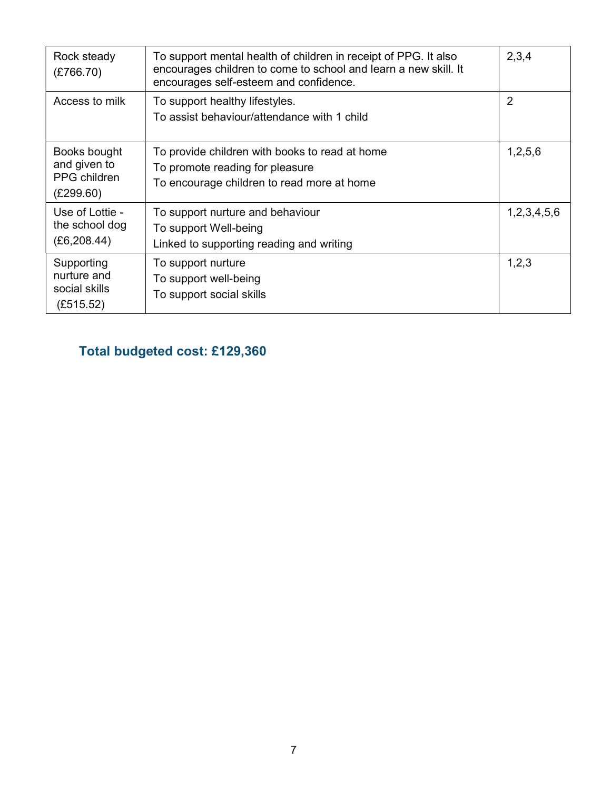| Rock steady<br>(E766.70)                                  | To support mental health of children in receipt of PPG. It also<br>encourages children to come to school and learn a new skill. It<br>encourages self-esteem and confidence. | 2,3,4          |
|-----------------------------------------------------------|------------------------------------------------------------------------------------------------------------------------------------------------------------------------------|----------------|
| Access to milk                                            | To support healthy lifestyles.<br>To assist behaviour/attendance with 1 child                                                                                                | $\overline{2}$ |
| Books bought<br>and given to<br>PPG children<br>(E299.60) | To provide children with books to read at home<br>To promote reading for pleasure<br>To encourage children to read more at home                                              | 1,2,5,6        |
| Use of Lottie -<br>the school dog<br>(E6, 208.44)         | To support nurture and behaviour<br>To support Well-being<br>Linked to supporting reading and writing                                                                        | 1,2,3,4,5,6    |
| Supporting<br>nurture and<br>social skills<br>(E515.52)   | To support nurture<br>To support well-being<br>To support social skills                                                                                                      | 1,2,3          |

# Total budgeted cost: £129,360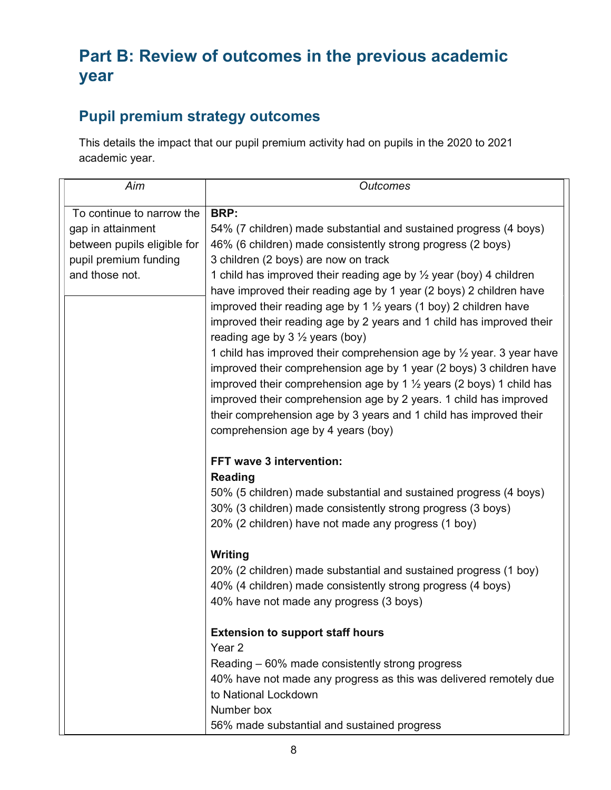# Part B: Review of outcomes in the previous academic year

## Pupil premium strategy outcomes

This details the impact that our pupil premium activity had on pupils in the 2020 to 2021 academic year.

| Aim                         | <b>Outcomes</b>                                                                                                   |
|-----------------------------|-------------------------------------------------------------------------------------------------------------------|
| To continue to narrow the   | BRP:                                                                                                              |
| gap in attainment           | 54% (7 children) made substantial and sustained progress (4 boys)                                                 |
| between pupils eligible for | 46% (6 children) made consistently strong progress (2 boys)                                                       |
| pupil premium funding       | 3 children (2 boys) are now on track                                                                              |
| and those not.              | 1 child has improved their reading age by 1/2 year (boy) 4 children                                               |
|                             | have improved their reading age by 1 year (2 boys) 2 children have                                                |
|                             | improved their reading age by 1 $\frac{1}{2}$ years (1 boy) 2 children have                                       |
|                             | improved their reading age by 2 years and 1 child has improved their<br>reading age by $3\frac{1}{2}$ years (boy) |
|                             | 1 child has improved their comprehension age by 1/2 year. 3 year have                                             |
|                             | improved their comprehension age by 1 year (2 boys) 3 children have                                               |
|                             | improved their comprehension age by 1 $\frac{1}{2}$ years (2 boys) 1 child has                                    |
|                             | improved their comprehension age by 2 years. 1 child has improved                                                 |
|                             | their comprehension age by 3 years and 1 child has improved their                                                 |
|                             | comprehension age by 4 years (boy)                                                                                |
|                             | FFT wave 3 intervention:                                                                                          |
|                             | <b>Reading</b>                                                                                                    |
|                             | 50% (5 children) made substantial and sustained progress (4 boys)                                                 |
|                             | 30% (3 children) made consistently strong progress (3 boys)                                                       |
|                             | 20% (2 children) have not made any progress (1 boy)                                                               |
|                             | Writing                                                                                                           |
|                             | 20% (2 children) made substantial and sustained progress (1 boy)                                                  |
|                             | 40% (4 children) made consistently strong progress (4 boys)                                                       |
|                             | 40% have not made any progress (3 boys)                                                                           |
|                             | <b>Extension to support staff hours</b>                                                                           |
|                             | Year <sub>2</sub>                                                                                                 |
|                             | Reading – 60% made consistently strong progress                                                                   |
|                             | 40% have not made any progress as this was delivered remotely due                                                 |
|                             | to National Lockdown                                                                                              |
|                             | Number box                                                                                                        |
|                             | 56% made substantial and sustained progress                                                                       |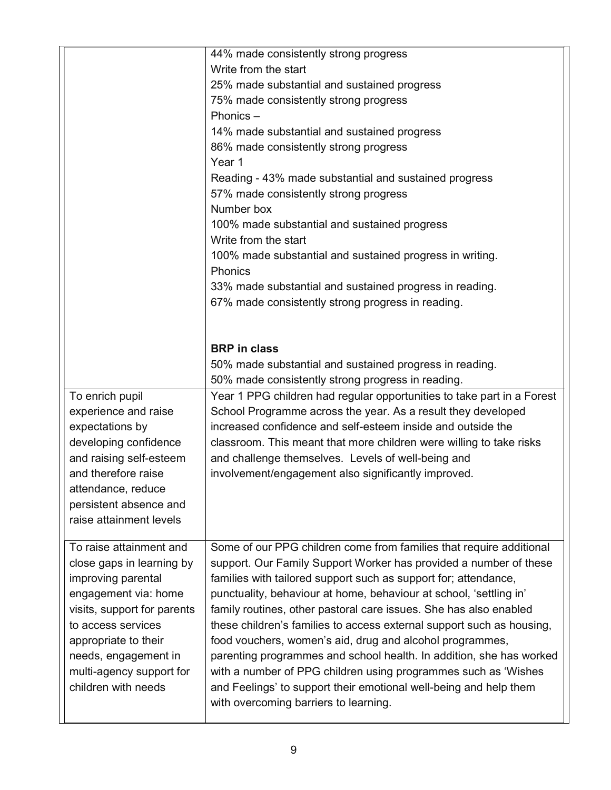|                             | 44% made consistently strong progress                                  |
|-----------------------------|------------------------------------------------------------------------|
|                             | Write from the start                                                   |
|                             | 25% made substantial and sustained progress                            |
|                             | 75% made consistently strong progress                                  |
|                             | Phonics $-$                                                            |
|                             | 14% made substantial and sustained progress                            |
|                             |                                                                        |
|                             | 86% made consistently strong progress                                  |
|                             | Year 1                                                                 |
|                             | Reading - 43% made substantial and sustained progress                  |
|                             | 57% made consistently strong progress                                  |
|                             | Number box                                                             |
|                             | 100% made substantial and sustained progress                           |
|                             | Write from the start                                                   |
|                             | 100% made substantial and sustained progress in writing.               |
|                             | <b>Phonics</b>                                                         |
|                             | 33% made substantial and sustained progress in reading.                |
|                             | 67% made consistently strong progress in reading.                      |
|                             |                                                                        |
|                             |                                                                        |
|                             | <b>BRP</b> in class                                                    |
|                             | 50% made substantial and sustained progress in reading.                |
|                             | 50% made consistently strong progress in reading.                      |
| To enrich pupil             | Year 1 PPG children had regular opportunities to take part in a Forest |
| experience and raise        | School Programme across the year. As a result they developed           |
| expectations by             | increased confidence and self-esteem inside and outside the            |
| developing confidence       | classroom. This meant that more children were willing to take risks    |
| and raising self-esteem     | and challenge themselves. Levels of well-being and                     |
| and therefore raise         | involvement/engagement also significantly improved.                    |
|                             |                                                                        |
| attendance, reduce          |                                                                        |
| persistent absence and      |                                                                        |
| raise attainment levels     |                                                                        |
| To raise attainment and     | Some of our PPG children come from families that require additional    |
| close gaps in learning by   | support. Our Family Support Worker has provided a number of these      |
|                             |                                                                        |
| improving parental          | families with tailored support such as support for; attendance,        |
| engagement via: home        | punctuality, behaviour at home, behaviour at school, 'settling in'     |
| visits, support for parents | family routines, other pastoral care issues. She has also enabled      |
| to access services          | these children's families to access external support such as housing,  |
| appropriate to their        | food vouchers, women's aid, drug and alcohol programmes,               |
| needs, engagement in        | parenting programmes and school health. In addition, she has worked    |
| multi-agency support for    | with a number of PPG children using programmes such as 'Wishes         |
| children with needs         | and Feelings' to support their emotional well-being and help them      |
|                             | with overcoming barriers to learning.                                  |
|                             |                                                                        |